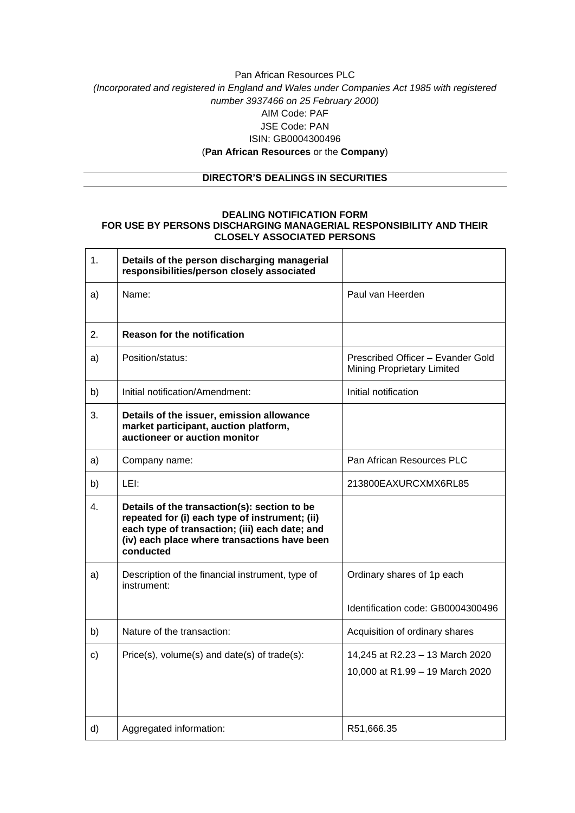# Pan African Resources PLC *(Incorporated and registered in England and Wales under Companies Act 1985 with registered number 3937466 on 25 February 2000)* AIM Code: PAF JSE Code: PAN ISIN: GB0004300496 (**Pan African Resources** or the **Company**)

## **DIRECTOR'S DEALINGS IN SECURITIES**

#### **DEALING NOTIFICATION FORM FOR USE BY PERSONS DISCHARGING MANAGERIAL RESPONSIBILITY AND THEIR CLOSELY ASSOCIATED PERSONS**

| 1.            | Details of the person discharging managerial<br>responsibilities/person closely associated                                                                                                                    |                                                                    |
|---------------|---------------------------------------------------------------------------------------------------------------------------------------------------------------------------------------------------------------|--------------------------------------------------------------------|
| a)            | Name:                                                                                                                                                                                                         | Paul van Heerden                                                   |
| 2.            | <b>Reason for the notification</b>                                                                                                                                                                            |                                                                    |
| a)            | Position/status:                                                                                                                                                                                              | Prescribed Officer - Evander Gold<br>Mining Proprietary Limited    |
| b)            | Initial notification/Amendment:                                                                                                                                                                               | Initial notification                                               |
| 3.            | Details of the issuer, emission allowance<br>market participant, auction platform,<br>auctioneer or auction monitor                                                                                           |                                                                    |
| a)            | Company name:                                                                                                                                                                                                 | Pan African Resources PLC                                          |
| b)            | LEI:                                                                                                                                                                                                          | 213800EAXURCXMX6RL85                                               |
| 4.            | Details of the transaction(s): section to be<br>repeated for (i) each type of instrument; (ii)<br>each type of transaction; (iii) each date; and<br>(iv) each place where transactions have been<br>conducted |                                                                    |
| a)            | Description of the financial instrument, type of<br>instrument:                                                                                                                                               | Ordinary shares of 1p each                                         |
|               |                                                                                                                                                                                                               | Identification code: GB0004300496                                  |
| b)            | Nature of the transaction:                                                                                                                                                                                    | Acquisition of ordinary shares                                     |
| $\mathbf{c})$ | $Price(s), volume(s)$ and date(s) of trade(s):                                                                                                                                                                | 14,245 at R2.23 - 13 March 2020<br>10,000 at R1.99 - 19 March 2020 |
| d)            | Aggregated information:                                                                                                                                                                                       | R51,666.35                                                         |